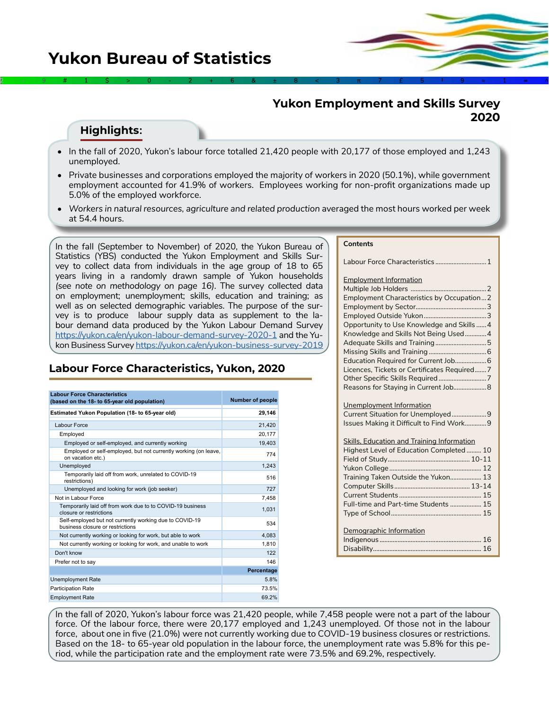# **Yukon Employment and Skills Survey 2020**

### **Highlights:**

• In the fall of 2020, Yukon's labour force totalled 21,420 people with 20,177 of those employed and 1,243 unemployed.

2÷9#1\$>0-2+6&±8<3π7£5‡9≈1∞^

- Private businesses and corporations employed the majority of workers in 2020 (50.1%), while government employment accounted for 41.9% of workers. Employees working for non-profit organizations made up 5.0% of the employed workforce.
- *Workers in natural resources, agriculture and related production averaged the most hours worked per week* at 54.4 hours.

In the fall (September to November) of 2020, the Yukon Bureau of Statistics (YBS) conducted the Yukon Employment and Skills Survey to collect data from individuals in the age group of 18 to 65 years living in a randomly drawn sample of Yukon households *(see note on methodology on page 16)*. The survey collected data on employment; unemployment; skills, education and training; as well as on selected demographic variables. The purpose of the survey is to produce labour supply data as supplement to the labour demand data produced by the Yukon Labour Demand Survey <https://yukon.ca/en/yukon-labour-demand-survey-2020-1> and the Yukon Business Survey<https://yukon.ca/en/yukon-business-survey-2019>

# **Labour Force Characteristics, Yukon, 2020**

| <b>Labour Force Characteristics</b><br>(based on the 18- to 65-year old population)         | <b>Number of people</b> |
|---------------------------------------------------------------------------------------------|-------------------------|
|                                                                                             |                         |
| Estimated Yukon Population (18- to 65-year old)                                             | 29,146                  |
| <b>Labour Force</b>                                                                         | 21,420                  |
| Employed                                                                                    | 20,177                  |
| Employed or self-employed, and currently working                                            | 19,403                  |
| Employed or self-employed, but not currently working (on leave,<br>on vacation etc.)        | 774                     |
| Unemployed                                                                                  | 1,243                   |
| Temporarily laid off from work, unrelated to COVID-19<br>restrictions)                      | 516                     |
| Unemployed and looking for work (job seeker)                                                | 727                     |
| Not in Labour Force                                                                         | 7.458                   |
| Temporarily laid off from work due to to COVID-19 business<br>closure or restrictions       | 1,031                   |
| Self-employed but not currently working due to COVID-19<br>business closure or restrictions | 534                     |
| Not currently working or looking for work, but able to work                                 | 4,083                   |
| Not currently working or looking for work, and unable to work                               | 1.810                   |
| Don't know                                                                                  | 122                     |
| Prefer not to say                                                                           | 146                     |
|                                                                                             | Percentage              |
| <b>Unemployment Rate</b>                                                                    | 5.8%                    |
| <b>Participation Rate</b>                                                                   | 73.5%                   |
| <b>Employment Rate</b>                                                                      | 69.2%                   |

#### **Contents**

Labour Force Characteristics ............................... 1 Employment Information Multiple Job Holders ..............................................2 Employment Characteristics by Occupation...2 Employment by Sector...........................................3 Employed Outside Yukon......................................3 Opportunity to Use Knowledge and Skills ......4 Knowledge and Skills Not Being Used.............4 Adequate Skills and Training...............................5 Missing Skills and Training ...................................6 Education Required for Current Job...................6 Licences, Tickets or Certificates Required.......7 Other Specific Skills Required .............................7 Reasons for Staying in Current Job....................8 Unemployment Information Current Situation for Unemployed.....................9 Issues Making it Difficult to Find Work.............9 Skills, Education and Training Information Highest Level of Education Completed ......... 10 Field of Study.................................................. 10-11 Yukon College........................................................ 12 Training Taken Outside the Yukon................... 13 Computer Skills.............................................. 13-14 Current Students .................................................. 15 Full-time and Part-time Students ................... 15 Type of School....................................................... 15 Demographic Information Indigenous [..............................................................](#page-2-0) 16 Disabilit[y..................................................................](#page-4-0) 16

In the fall of 2020, Yukon's labour force was 21,420 people, while 7,458 people were not a part of the labour force. Of the labour force, there were 20,177 employed and 1,243 unemployed. Of those not in the labour force, about one in five (21.0%) were not currently working due to COVID-19 business closures or restrictions. Based on the 18- to 65-year old population in the labour force, the unemployment rate was 5.8% for this period, while the participation rate and the employment rate were 73.5% and 69.2%, respectively.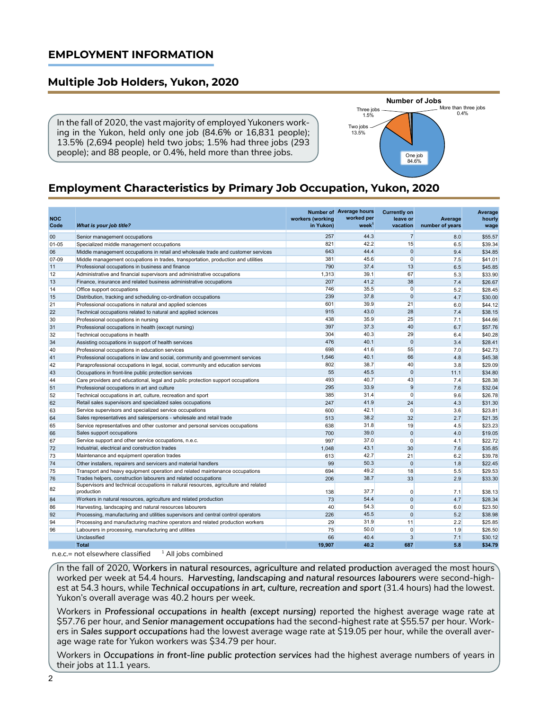### **EMPLOYMENT INFORMATION**

# **Multiple Job Holders, Yukon, 2020**

In the fall of 2020, the vast majority of employed Yukoners working in the Yukon, held only one job (84.6% or 16,831 people); 13.5% (2,694 people) held two jobs; 1.5% had three jobs (293 people); and 88 people, or 0.4%, held more than three jobs.



# **Employment Characteristics by Primary Job Occupation, Yukon, 2020**

| <b>NOC</b><br>Code | What is your job title?                                                                           | workers (working<br>in Yukon) | <b>Number of Average hours</b><br>worked per<br>week <sup>1</sup> | <b>Currently on</b><br>leave or<br>vacation | Average<br>number of years | Average<br>hourly<br>wage |
|--------------------|---------------------------------------------------------------------------------------------------|-------------------------------|-------------------------------------------------------------------|---------------------------------------------|----------------------------|---------------------------|
| 00                 | Senior management occupations                                                                     | 257                           | 44.3                                                              | $\overline{7}$                              | 8.0                        | \$55.57                   |
| 01-05              | Specialized middle management occupations                                                         | 821                           | 42.2                                                              | 15                                          | 6.5                        | \$39.34                   |
| 06                 | Middle management occupations in retail and wholesale trade and customer services                 | 643                           | 44.4                                                              | $\mathbf{0}$                                | 9.4                        | \$34.85                   |
| 07-09              | Middle management occupations in trades, transportation, production and utilities                 | 381                           | 45.6                                                              | $\overline{0}$                              | 7.5                        | \$41.01                   |
| 11                 | Professional occupations in business and finance                                                  | 790                           | 37.4                                                              | 13                                          | 6.5                        | \$45.85                   |
| 12                 | Administrative and financial supervisors and administrative occupations                           | 1,313                         | 39.1                                                              | 67                                          | 5.3                        | \$33.90                   |
| 13                 | Finance, insurance and related business administrative occupations                                | 207                           | 41.2                                                              | 38                                          | 7.4                        | \$26.67                   |
| 14                 | Office support occupations                                                                        | 746                           | 35.5                                                              | $\Omega$                                    | 5.2                        | \$28.45                   |
| 15                 | Distribution, tracking and scheduling co-ordination occupations                                   | 239                           | 37.8                                                              | $\mathbf 0$                                 | 4.7                        | \$30.00                   |
| 21                 | Professional occupations in natural and applied sciences                                          | 601                           | 39.9                                                              | 21                                          | 6.0                        | \$44.12                   |
| 22                 | Technical occupations related to natural and applied sciences                                     | 915                           | 43.0                                                              | 28                                          | 7.4                        | \$38.15                   |
| 30                 | Professional occupations in nursing                                                               | 438                           | 35.9                                                              | 25                                          | 7.1                        | \$44.66                   |
| 31                 | Professional occupations in health (except nursing)                                               | 397                           | 37.3                                                              | 40                                          | 6.7                        | \$57.76                   |
| 32                 | Technical occupations in health                                                                   | 304                           | 40.3                                                              | 29                                          | 6.4                        | \$40.28                   |
| 34                 | Assisting occupations in support of health services                                               | 476                           | 40.1                                                              | $\mathbf 0$                                 | 3.4                        | \$28.41                   |
| 40                 | Professional occupations in education services                                                    | 698                           | 41.6                                                              | 55                                          | 7.0                        | \$42.73                   |
| 41                 | Professional occupations in law and social, community and government services                     | 1,646                         | 40.1                                                              | 66                                          | 4.8                        | \$45.38                   |
| 42                 | Paraprofessional occupations in legal, social, community and education services                   | 802                           | 38.7                                                              | 40                                          | 3.8                        | \$29.09                   |
| 43                 | Occupations in front-line public protection services                                              | 55                            | 45.5                                                              | $\mathbf 0$                                 | 11.1                       | \$34.80                   |
| 44                 | Care providers and educational, legal and public protection support occupations                   | 493                           | 40.7                                                              | 43                                          | 7.4                        | \$28.38                   |
| 51                 | Professional occupations in art and culture                                                       | 295                           | 33.9                                                              | 9                                           | 7.6                        | \$32.04                   |
| 52                 | Technical occupations in art, culture, recreation and sport                                       | 385                           | 31.4                                                              | $\mathbf 0$                                 | 9.6                        | \$26.78                   |
| 62                 | Retail sales supervisors and specialized sales occupations                                        | 247                           | 41.9                                                              | 24                                          | 4.3                        | \$31.30                   |
| 63                 | Service supervisors and specialized service occupations                                           | 600                           | 42.1                                                              | $\Omega$                                    | 3.6                        | \$23.81                   |
| 64                 | Sales representatives and salespersons - wholesale and retail trade                               | 513                           | 38.2                                                              | 32                                          | 2.7                        | \$21.35                   |
| 65                 | Service representatives and other customer and personal services occupations                      | 638                           | 31.8                                                              | 19                                          | 4.5                        | \$23.23                   |
| 66                 | Sales support occupations                                                                         | 700                           | 39.0                                                              | $\mathbf{0}$                                | 4.0                        | \$19.05                   |
| 67                 | Service support and other service occupations, n.e.c.                                             | 997                           | 37.0                                                              | $\mathbf 0$                                 | 4.1                        | \$22.72                   |
| 72                 | Industrial, electrical and construction trades                                                    | 1.048                         | 43.1                                                              | 30                                          | 7.6                        | \$35.85                   |
| 73                 | Maintenance and equipment operation trades                                                        | 613                           | 42.7                                                              | 21                                          | 6.2                        | \$39.78                   |
| 74                 | Other installers, repairers and servicers and material handlers                                   | 99                            | 50.3                                                              | $\Omega$                                    | 1.8                        | \$22.45                   |
| 75                 | Transport and heavy equipment operation and related maintenance occupations                       | 694                           | 49.2                                                              | 18                                          | 5.5                        | \$29.53                   |
| 76                 | Trades helpers, construction labourers and related occupations                                    | 206                           | 38.7                                                              | 33                                          | 2.9                        | \$33.30                   |
| 82                 | Supervisors and technical occupations in natural resources, agriculture and related<br>production | 138                           | 37.7                                                              | 0                                           | 7.1                        | \$38.13                   |
| 84                 | Workers in natural resources, agriculture and related production                                  | 73                            | 54.4                                                              | $\mathbf{0}$                                | 4.7                        | \$28.34                   |
| 86                 | Harvesting, landscaping and natural resources labourers                                           | 40                            | 54.3                                                              | 0                                           | 6.0                        | \$23.50                   |
| 92                 | Processing, manufacturing and utilities supervisors and central control operators                 | 226                           | 45.5                                                              | $\mathbf{0}$                                | 5.2                        | \$38.98                   |
| 94                 | Processing and manufacturing machine operators and related production workers                     | 29                            | 31.9                                                              | 11                                          | 2.2                        | \$25.85                   |
| 96                 | Labourers in processing, manufacturing and utilities                                              | 75                            | 50.0                                                              | $\Omega$                                    | 1.9                        | \$26.50                   |
|                    | Unclassified                                                                                      | 66                            | 40.4                                                              | 3                                           | 7.1                        | \$30.12                   |
|                    | <b>Total</b>                                                                                      | 19.907                        | 40.2                                                              | 687                                         | 5.8                        | \$34.79                   |

n.e.c.= not elsewhere classified  $1$  All jobs combined

In the fall of 2020, **Workers in natural resources, agriculture and related production** averaged the most hours worked per week at 54.4 hours. *Harvesting, landscaping and natural resources labourers* were second-highest at 54.3 hours, while *Technical occupations in art, culture, recreation and sport* (31.4 hours) had the lowest. Yukon's overall average was 40.2 hours per week.

Workers in *Professional occupations in health (except nursing)* reported the highest average wage rate at \$57.76 per hour, and *Senior management occupations* had the second-highest rate at \$55.57 per hour. Workers in *Sales support occupations* had the lowest average wage rate at \$19.05 per hour, while the overall average wage rate for Yukon workers was \$34.79 per hour.

Workers in *Occupations in front-line public protection services* had the highest average numbers of years in their jobs at 11.1 years.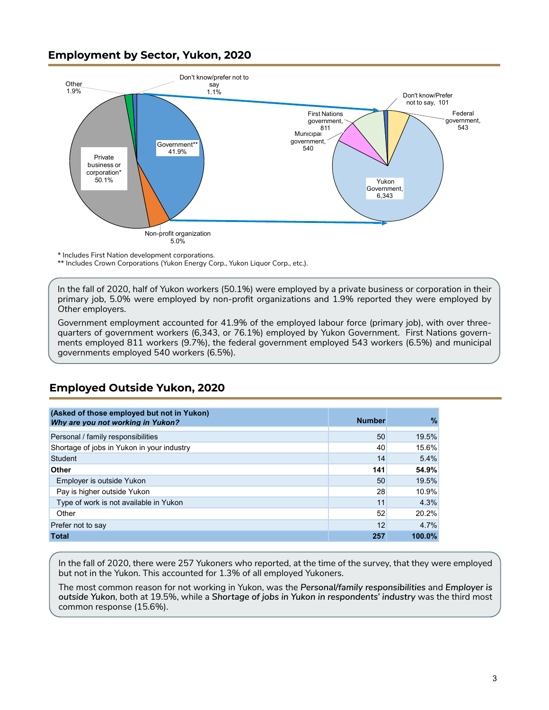## <span id="page-2-0"></span>**Employment by Sector, Yukon, 2020**



\* Includes First Nation development corporations.

\*\* Includes Crown Corporations (Yukon Energy Corp., Yukon Liquor Corp., etc.).

In the fall of 2020, half of Yukon workers (50.1%) were employed by a private business or corporation in their primary job, 5.0% were employed by non-profit organizations and 1.9% reported they were employed by *Other* employers.

Government employment accounted for 41.9% of the employed labour force (primary job), with over threequarters of government workers (6,343, or 76.1%) employed by Yukon Government. First Nations governments employed 811 workers (9.7%), the federal government employed 543 workers (6.5%) and municipal governments employed 540 workers (6.5%).

| (Asked of those employed but not in Yukon)<br>Why are you not working in Yukon? | <b>Number</b> | $\%$      |
|---------------------------------------------------------------------------------|---------------|-----------|
| Personal / family responsibilities                                              | 50            | 19.5%     |
| Shortage of jobs in Yukon in your industry                                      | 40            | 15.6%     |
| Student                                                                         | 14            | 5.4%      |
| <b>Other</b>                                                                    | 141           | 54.9%     |
| Employer is outside Yukon                                                       | 50            | 19.5%     |
| Pay is higher outside Yukon                                                     | 28            | 10.9%     |
| Type of work is not available in Yukon                                          | 11            | 4.3%      |
| Other                                                                           | 52            | 20.2%     |
| Prefer not to say                                                               | 12            | 4.7%      |
| <b>Total</b>                                                                    | 257           | $100.0\%$ |

### **Employed Outside Yukon, 2020**

In the fall of 2020, there were 257 Yukoners who reported, at the time of the survey, that they were employed but not in the Yukon. This accounted for 1.3% of all employed Yukoners.

The most common reason for not working in Yukon, was the *Personal/family responsibilities* and *Employer is outside Yukon*, both at 19.5%, while a *Shortage of jobs in Yukon in respondents' industry* was the third most common response (15.6%).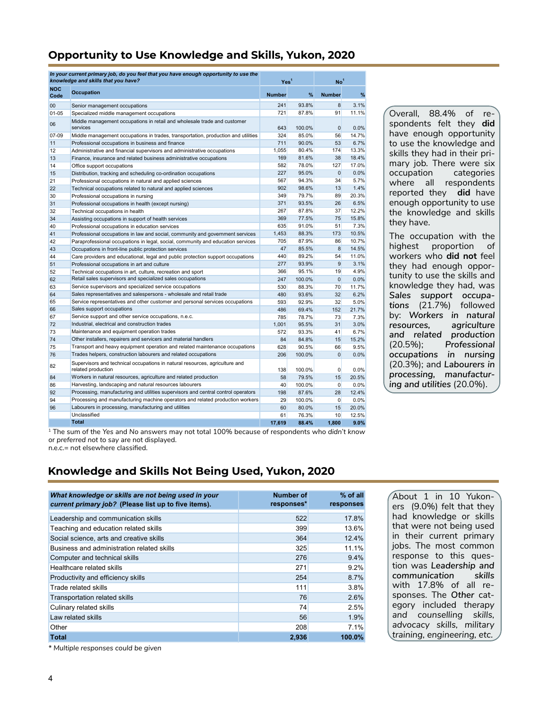# **Opportunity to Use Knowledge and Skills, Yukon, 2020**

|                    | In your current primary job, do you feel that you have enough opportunity to use the<br>knowledge and skills that you have?    | Yes <sup>1</sup> |                | No <sup>1</sup> |               |
|--------------------|--------------------------------------------------------------------------------------------------------------------------------|------------------|----------------|-----------------|---------------|
| <b>NOC</b><br>Code | <b>Occupation</b>                                                                                                              | <b>Number</b>    | %              | <b>Number</b>   | %             |
| $00\,$             | Senior management occupations                                                                                                  | 241              | 93.8%          | 8               | 3.1%          |
| $01 - 05$          | Specialized middle management occupations                                                                                      | 721              | 87.8%          | 91              | 11.1%         |
| 06                 | Middle management occupations in retail and wholesale trade and customer<br>services                                           | 643              | 100.0%         | $\Omega$        | 0.0%          |
| 07-09              | Middle management occupations in trades, transportation, production and utilities                                              | 324              | 85.0%          | 56              | 14.7%         |
| 11                 | Professional occupations in business and finance                                                                               | 711              | $90.0\%$       | 53              | 6.7%          |
| 12                 | Administrative and financial supervisors and administrative occupations                                                        | 1,055            | 80.4%          | 174             | 13.3%         |
| 13                 | Finance, insurance and related business administrative occupations                                                             | 169              | 81.6%          | 38              | 18.4%         |
| 14                 | Office support occupations                                                                                                     | 582              | 78.0%          | 127             | 17.0%         |
| 15                 | Distribution, tracking and scheduling co-ordination occupations                                                                | 227              | 95.0%          | $\Omega$        | 0.0%          |
| 21                 | Professional occupations in natural and applied sciences                                                                       | 567              | 94.3%          | 34              | 5.7%          |
| 22                 | Technical occupations related to natural and applied sciences                                                                  | 902              | 98.6%          | 13              | 1.4%          |
| 30                 | Professional occupations in nursing                                                                                            | 349              | 79.7%          | 89              | 20.3%         |
| 31                 | Professional occupations in health (except nursing)                                                                            | 371              | 93.5%          | 26              | 6.5%          |
| 32                 | Technical occupations in health                                                                                                | 267              | 87.8%          | 37              | 12.2%         |
| 34                 | Assisting occupations in support of health services                                                                            | 369              | 77.5%          | 75<br>51        | 15.8%<br>7.3% |
| 40                 | Professional occupations in education services                                                                                 | 635              | 91.0%<br>88.3% | 173             | 10.5%         |
| 41                 | Professional occupations in law and social, community and government services                                                  | 1,453<br>705     | 87.9%          | 86              | 10.7%         |
| 42                 | Paraprofessional occupations in legal, social, community and education services                                                | 47               | 85.5%          | 8               | 14.5%         |
| 43<br>44           | Occupations in front-line public protection services                                                                           | 440              | 89.2%          | 54              | 11.0%         |
| 51                 | Care providers and educational, legal and public protection support occupations<br>Professional occupations in art and culture | 277              | 93.9%          | 9               | 3.1%          |
| 52                 | Technical occupations in art, culture, recreation and sport                                                                    | 366              | 95.1%          | 19              | 4.9%          |
| 62                 | Retail sales supervisors and specialized sales occupations                                                                     | 247              | 100.0%         | $\Omega$        | 0.0%          |
| 63                 | Service supervisors and specialized service occupations                                                                        | 530              | 88.3%          | 70              | 11.7%         |
| 64                 | Sales representatives and salespersons - wholesale and retail trade                                                            | 480              | 93.6%          | 32              | 6.2%          |
| 65                 | Service representatives and other customer and personal services occupations                                                   | 593              | 92.9%          | 32              | 5.0%          |
| 66                 | Sales support occupations                                                                                                      | 486              | 69.4%          | 152             | 21.7%         |
| 67                 | Service support and other service occupations, n.e.c.                                                                          | 785              | 78.7%          | 73              | 7.3%          |
| 72                 | Industrial, electrical and construction trades                                                                                 | 1.001            | 95.5%          | 31              | 3.0%          |
| 73                 | Maintenance and equipment operation trades                                                                                     | 572              | 93.3%          | 41              | 6.7%          |
| 74                 | Other installers, repairers and servicers and material handlers                                                                | 84               | 84.8%          | 15              | 15.2%         |
| 75                 | Transport and heavy equipment operation and related maintenance occupations                                                    | 628              | 90.5%          | 66              | 9.5%          |
| 76                 | Trades helpers, construction labourers and related occupations                                                                 | 206              | 100.0%         | $\Omega$        | 0.0%          |
| 82                 | Supervisors and technical occupations in natural resources, agriculture and<br>related production                              | 138              | 100.0%         | 0               | 0.0%          |
| 84                 | Workers in natural resources, agriculture and related production                                                               | 58               | 79.5%          | 15              | 20.5%         |
| 86                 | Harvesting, landscaping and natural resources labourers                                                                        | 40               | 100.0%         | $\Omega$        | 0.0%          |
| 92                 | Processing, manufacturing and utilities supervisors and central control operators                                              | 198              | 87.6%          | 28              | 12.4%         |
| 94                 | Processing and manufacturing machine operators and related production workers                                                  | 29               | 100.0%         | 0               | 0.0%          |
| 96                 | Labourers in processing, manufacturing and utilities                                                                           | 60               | 80.0%          | 15              | 20.0%         |
|                    | Unclassified                                                                                                                   | 61               | 76.3%          | 10              | 12.5%         |
|                    | <b>Total</b>                                                                                                                   | 17,619           | 88.4%          | 1,800           | 9.0%          |

Overall, 88.4% of respondents felt they **did** have enough opportunity to use the knowledge and skills they had in their primary job. There were six occupation categories where all respondents reported they **did** have enough opportunity to use the knowledge and skills they have.

The occupation with the highest proportion of workers who **did not** feel they had enough opportunity to use the skills and knowledge they had, was *Sales support occupations* (21.7%) followed by: *Workers in natural resources, agriculture and related production* (20.5%); *Professional occupations in nursing* (20.3%); and *Labourers in processing, manufacturing and utilities* (20.0%).

1 The sum of the *Yes* and *No* answers may not total 100% because of respondents who *didn't know*  or *preferred not to say* are not displayed.

n.e.c.= not elsewhere classified.

# **Knowledge and Skills Not Being Used, Yukon, 2020**

| What knowledge or skills are not being used in your<br>current primary job? (Please list up to five items). | Number of<br>responses* | $%$ of all<br>responses |
|-------------------------------------------------------------------------------------------------------------|-------------------------|-------------------------|
| Leadership and communication skills                                                                         | 522                     | 17.8%                   |
| Teaching and education related skills                                                                       | 399                     | 13.6%                   |
| Social science, arts and creative skills                                                                    | 364                     | 12.4%                   |
| Business and administration related skills                                                                  | 325                     | 11.1%                   |
| Computer and technical skills                                                                               | 276                     | 9.4%                    |
| Healthcare related skills                                                                                   | 271                     | 9.2%                    |
| Productivity and efficiency skills                                                                          | 254                     | 8.7%                    |
| Trade related skills                                                                                        | 111                     | 3.8%                    |
| <b>Transportation related skills</b>                                                                        | 76                      | 2.6%                    |
| Culinary related skills                                                                                     | 74                      | 2.5%                    |
| Law related skills                                                                                          | 56                      | 1.9%                    |
| Other                                                                                                       | 208                     | 7.1%                    |
| <b>Total</b>                                                                                                | 2,936                   | 100.0%                  |

About 1 in 10 Yukoners (9.0%) felt that they had knowledge or skills that were not being used in their current primary jobs. The most common response to this question was *Leadership and communication skills* with 17.8% of all responses. The *Other* category included *therapy and counselling skills, advocacy skills, military training, engineering, etc.*

*\* Multiple responses could be given*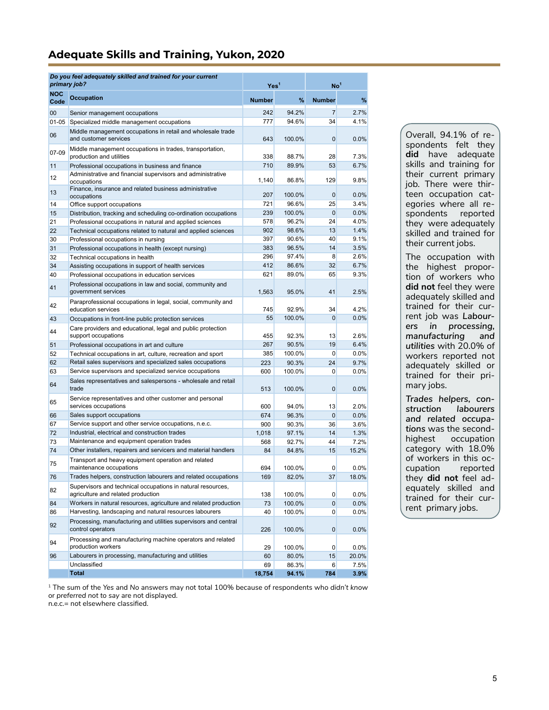## <span id="page-4-0"></span>**Adequate Skills and Training, Yukon, 2020**

|             | Do you feel adequately skilled and trained for your current<br>primary job?                       | Yes <sup>1</sup> |                | No <sup>1</sup>       |               |
|-------------|---------------------------------------------------------------------------------------------------|------------------|----------------|-----------------------|---------------|
| NOC<br>Code | <b>Occupation</b>                                                                                 | <b>Number</b>    | %              | <b>Number</b>         | $\%$          |
| 00          | Senior management occupations                                                                     | 242              | 94.2%          | $\overline{7}$        | 2.7%          |
| $01 - 05$   | Specialized middle management occupations                                                         | 777              | 94.6%          | 34                    | 4.1%          |
| 06          | Middle management occupations in retail and wholesale trade                                       |                  |                |                       |               |
|             | and customer services                                                                             | 643              | 100.0%         | $\mathbf 0$           | 0.0%          |
| 07-09       | Middle management occupations in trades, transportation,<br>production and utilities              | 338              | 88.7%          | 28                    | 7.3%          |
| 11          | Professional occupations in business and finance                                                  | 710              | 89.9%          | 53                    | 6.7%          |
| 12          | Administrative and financial supervisors and administrative<br>occupations                        | 1,140            | 86.8%          | 129                   | 9.8%          |
| 13          | Finance, insurance and related business administrative<br>occupations                             | 207              | 100.0%         | $\mathbf 0$           | $0.0\%$       |
| 14          | Office support occupations                                                                        | 721              | 96.6%          | 25                    | 3.4%          |
| 15          | Distribution, tracking and scheduling co-ordination occupations                                   | 239              | 100.0%         | $\mathbf{0}$          | 0.0%          |
| 21          | Professional occupations in natural and applied sciences                                          | 578              | 96.2%          | 24                    | 4.0%          |
| 22          | Technical occupations related to natural and applied sciences                                     | 902              | 98.6%          | 13                    | 1.4%          |
| 30          | Professional occupations in nursing                                                               | 397              | 90.6%          | 40                    | 9.1%          |
| 31          | Professional occupations in health (except nursing)                                               | 383              | 96.5%          | 14                    | 3.5%          |
| 32          | Technical occupations in health                                                                   | 296              | 97.4%          | 8                     | 2.6%          |
| 34          | Assisting occupations in support of health services                                               | 412              | 86.6%          | 32                    | 6.7%          |
| 40          | Professional occupations in education services                                                    | 621              | 89.0%          | 65                    | 9.3%          |
| 41          | Professional occupations in law and social, community and<br>government services                  | 1,563            | 95.0%          | 41                    | 2.5%          |
| 42          | Paraprofessional occupations in legal, social, community and<br>education services                | 745              | 92.9%          | 34                    | 4.2%          |
| 43          | Occupations in front-line public protection services                                              | 55               | 100.0%         | $\mathbf{0}$          | 0.0%          |
| 44          | Care providers and educational, legal and public protection<br>support occupations                | 455              | 92.3%          | 13                    | 2.6%          |
| 51          | Professional occupations in art and culture                                                       | 267              | 90.5%          | 19                    | 6.4%          |
| 52          | Technical occupations in art, culture, recreation and sport                                       | 385              | 100.0%         | $\mathbf{0}$          | 0.0%          |
| 62          | Retail sales supervisors and specialized sales occupations                                        | 223              | 90.3%          | 24                    | 9.7%          |
| 63          | Service supervisors and specialized service occupations                                           | 600              | 100.0%         | 0                     | $0.0\%$       |
| 64          | Sales representatives and salespersons - wholesale and retail<br>trade                            | 513              | 100.0%         | $\mathbf 0$           | 0.0%          |
|             | Service representatives and other customer and personal                                           |                  |                |                       |               |
| 65          | services occupations                                                                              | 600              | 94.0%          | 13                    | 2.0%          |
| 66          | Sales support occupations                                                                         | 674              | 96.3%          | $\mathbf{0}$          | 0.0%          |
| 67          | Service support and other service occupations, n.e.c.                                             | 900              | 90.3%          | 36                    | 3.6%          |
| 72          | Industrial, electrical and construction trades                                                    | 1,018            | 97.1%          | 14                    | 1.3%          |
| 73          | Maintenance and equipment operation trades                                                        | 568              | 92.7%          | 44                    | 7.2%          |
| 74          | Other installers, repairers and servicers and material handlers                                   | 84               | 84.8%          | 15                    | 15.2%         |
| 75          | Transport and heavy equipment operation and related<br>maintenance occupations                    | 694              | 100.0%         | 0                     | $0.0\%$       |
| 76          | Trades helpers, construction labourers and related occupations                                    | 169              | 82.0%          | 37                    | 18.0%         |
| 82          | Supervisors and technical occupations in natural resources,<br>agriculture and related production | 138              | 100.0%         | 0                     | $0.0\%$       |
| 84          | Workers in natural resources, agriculture and related production                                  | 73               | 100.0%         | 0                     | 0.0%          |
| 86          | Harvesting, landscaping and natural resources labourers                                           | 40               | 100.0%         | 0                     | 0.0%          |
| 92          | Processing, manufacturing and utilities supervisors and central<br>control operators              | 226              | 100.0%         | 0                     | $0.0\%$       |
| 94          | Processing and manufacturing machine operators and related<br>production workers                  |                  |                |                       |               |
|             | Labourers in processing, manufacturing and utilities                                              | 29               | 100.0%         | 0                     | $0.0\%$       |
| 96          | Unclassified                                                                                      | 60<br>69         | 80.0%<br>86.3% | 15<br>$6\phantom{.}6$ | 20.0%<br>7.5% |
|             | <b>Total</b>                                                                                      | 18,754           | 94.1%          | 784                   | 3.9%          |

Overall, 94.1% of respondents felt they **did** have adequate skills and training for their current primary job. There were thirteen occupation categories where all respondents reported they were adequately skilled and trained for their current jobs.

The occupation with the highest proportion of workers who **did not** feel they were adequately skilled and trained for their current job was *Labourers in processing, manufacturing and utilities* with 20.0% of workers reported not adequately skilled or trained for their primary jobs.

*Trades helpers, construction labourers and related occupations* was the secondoccupation category with 18.0% of workers in this occupation reported they **did not** feel adequately skilled and trained for their current primary jobs.

1 The sum of the *Yes* and *No* answers may not total 100% because of respondents who *didn't know*  or *preferred not to say* are not displayed.

n.e.c.= not elsewhere classified.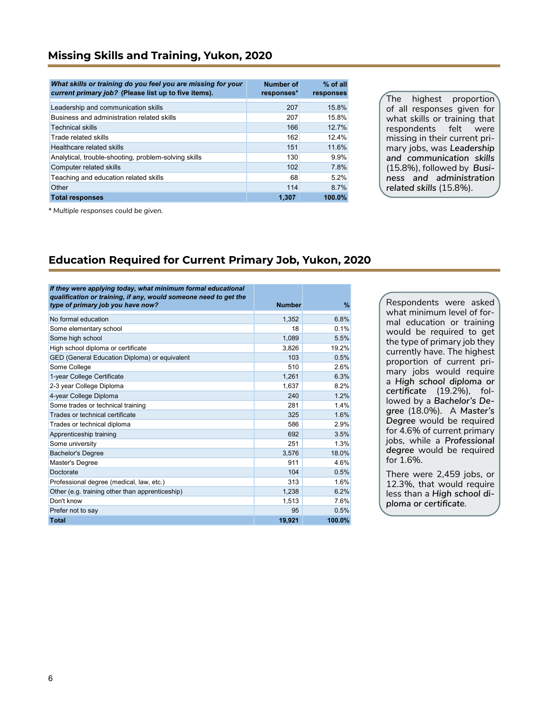| What skills or training do you feel you are missing for your<br>current primary job? (Please list up to five items). | <b>Number of</b><br>responses* | $%$ of all<br>responses |
|----------------------------------------------------------------------------------------------------------------------|--------------------------------|-------------------------|
| Leadership and communication skills                                                                                  | 207                            | 15.8%                   |
| Business and administration related skills                                                                           | 207                            | 15.8%                   |
| <b>Technical skills</b>                                                                                              | 166                            | 12.7%                   |
| Trade related skills                                                                                                 | 162                            | 12.4%                   |
| Healthcare related skills                                                                                            | 151                            | 11.6%                   |
| Analytical, trouble-shooting, problem-solving skills                                                                 | 130                            | 9.9%                    |
| Computer related skills                                                                                              | 102                            | 7.8%                    |
| Teaching and education related skills                                                                                | 68                             | 5.2%                    |
| Other                                                                                                                | 114                            | 8.7%                    |
| <b>Total responses</b>                                                                                               | 1.307                          | 100.0%                  |

The highest proportion of all responses given for what skills or training that respondents felt were missing in their current primary jobs, was *Leadership and communication skills*  (15.8%), followed by *Business and administration related skills* (15.8%).

*\* Multiple responses could be given.*

### **Education Required for Current Primary Job, Yukon, 2020**

| If they were applying today, what minimum formal educational                                          |               |        |
|-------------------------------------------------------------------------------------------------------|---------------|--------|
| qualification or training, if any, would someone need to get the<br>type of primary job you have now? | <b>Number</b> | $\%$   |
|                                                                                                       |               |        |
| No formal education                                                                                   | 1,352         | 6.8%   |
| Some elementary school                                                                                | 18            | 0.1%   |
| Some high school                                                                                      | 1,089         | 5.5%   |
| High school diploma or certificate                                                                    | 3,826         | 19.2%  |
| GED (General Education Diploma) or equivalent                                                         | 103           | 0.5%   |
| Some College                                                                                          | 510           | 2.6%   |
| 1-year College Certificate                                                                            | 1,261         | 6.3%   |
| 2-3 year College Diploma                                                                              | 1.637         | 8.2%   |
| 4-year College Diploma                                                                                | 240           | 1.2%   |
| Some trades or technical training                                                                     | 281           | 1.4%   |
| Trades or technical certificate                                                                       | 325           | 1.6%   |
| Trades or technical diploma                                                                           | 586           | 2.9%   |
| Apprenticeship training                                                                               | 692           | 3.5%   |
| Some university                                                                                       | 251           | 1.3%   |
| <b>Bachelor's Degree</b>                                                                              | 3,576         | 18.0%  |
| Master's Degree                                                                                       | 911           | 4.6%   |
| Doctorate                                                                                             | 104           | 0.5%   |
| Professional degree (medical, law, etc.)                                                              | 313           | 1.6%   |
| Other (e.g. training other than apprenticeship)                                                       | 1.238         | 6.2%   |
| Don't know                                                                                            | 1,513         | 7.6%   |
| Prefer not to say                                                                                     | 95            | 0.5%   |
| <b>Total</b>                                                                                          | 19.921        | 100.0% |

Respondents were asked what minimum level of formal education or training would be required to get the type of primary job they currently have. The highest proportion of current primary jobs would require a *High school diploma or certificate* (19.2%)*,* followed by a *Bachelor's Degree* (18.0%). A *Master's Degree* would be required for 4.6% of current primary jobs, while a *Professional degree* would be required for 1.6%.

There were 2,459 jobs, or 12.3%, that would require less than a *High school diploma or certificate.*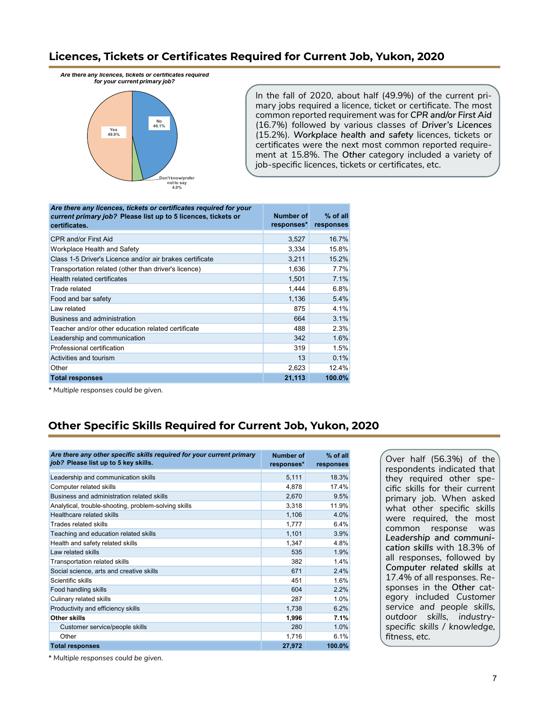### **Licences, Tickets or Certificates Required for Current Job, Yukon, 2020**

*Are there any licences, tickets or certificates required for your current primary job?* 



In the fall of 2020, about half (49.9%) of the current primary jobs required a licence, ticket or certificate. The most common reported requirement was for *CPR and/or First Aid*  (16.7%) followed by various classes of *Driver's Licences* (15.2%)*. Workplace health and safety* licences, tickets or certificates were the next most common reported requirement at 15.8%. The *Other* category included a variety of job-specific licences, tickets or certificates, etc.

| Are there any licences, tickets or certificates required for your<br>current primary job? Please list up to 5 licences, tickets or<br>certificates. | Number of<br>responses* | $%$ of all<br>responses |
|-----------------------------------------------------------------------------------------------------------------------------------------------------|-------------------------|-------------------------|
| <b>CPR and/or First Aid</b>                                                                                                                         | 3,527                   | 16.7%                   |
| Workplace Health and Safety                                                                                                                         | 3,334                   | 15.8%                   |
| Class 1-5 Driver's Licence and/or air brakes certificate                                                                                            | 3,211                   | 15.2%                   |
| Transportation related (other than driver's licence)                                                                                                | 1,636                   | 7.7%                    |
| Health related certificates                                                                                                                         | 1,501                   | 7.1%                    |
| Trade related                                                                                                                                       | 1,444                   | 6.8%                    |
| Food and bar safety                                                                                                                                 | 1,136                   | 5.4%                    |
| Law related                                                                                                                                         | 875                     | 4.1%                    |
| Business and administration                                                                                                                         | 664                     | 3.1%                    |
| Teacher and/or other education related certificate                                                                                                  | 488                     | 2.3%                    |
| Leadership and communication                                                                                                                        | 342                     | 1.6%                    |
| Professional certification                                                                                                                          | 319                     | 1.5%                    |
| Activities and tourism                                                                                                                              | 13                      | 0.1%                    |
| Other                                                                                                                                               | 2,623                   | 12.4%                   |
| <b>Total responses</b>                                                                                                                              | 21,113                  | 100.0%                  |

*\* Multiple responses could be given.*

# **Other Specific Skills Required for Current Job, Yukon, 2020**

| Are there any other specific skills required for your current primary<br>job? Please list up to 5 key skills. | Number of<br>responses* | % of all<br>responses |
|---------------------------------------------------------------------------------------------------------------|-------------------------|-----------------------|
| Leadership and communication skills                                                                           | 5,111                   | 18.3%                 |
| Computer related skills                                                                                       | 4,878                   | 17.4%                 |
| Business and administration related skills                                                                    | 2,670                   | 9.5%                  |
| Analytical, trouble-shooting, problem-solving skills                                                          | 3,318                   | 11.9%                 |
| Healthcare related skills                                                                                     | 1,106                   | 4.0%                  |
| Trades related skills                                                                                         | 1,777                   | 6.4%                  |
| Teaching and education related skills                                                                         | 1,101                   | 3.9%                  |
| Health and safety related skills                                                                              | 1,347                   | 4.8%                  |
| I aw related skills                                                                                           | 535                     | 1.9%                  |
| Transportation related skills                                                                                 | 382                     | 1.4%                  |
| Social science, arts and creative skills                                                                      | 671                     | 2.4%                  |
| Scientific skills                                                                                             | 451                     | 1.6%                  |
| Food handling skills                                                                                          | 604                     | 2.2%                  |
| Culinary related skills                                                                                       | 287                     | 1.0%                  |
| Productivity and efficiency skills                                                                            | 1,738                   | 6.2%                  |
| Other skills                                                                                                  | 1,996                   | 7.1%                  |
| Customer service/people skills                                                                                | 280                     | 1.0%                  |
| Other                                                                                                         | 1,716                   | 6.1%                  |
| <b>Total responses</b>                                                                                        | 27,972                  | 100.0%                |

Over half (56.3%) of the respondents indicated that they required other specific skills for their current primary job. When asked what other specific skills were required, the most common response was *Leadership and communication skills* with 18.3% of all responses, followed by *Computer related skills* at 17.4% of all responses. Responses in the *Other* category included *Customer service and people skills, outdoor skills, industryspecific skills / knowledge, fitness, etc.*

*\* Multiple responses could be given.*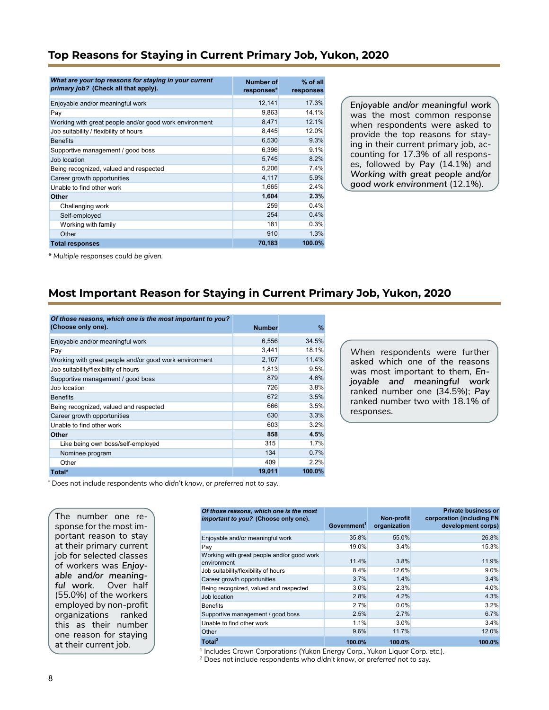## **Top Reasons for Staying in Current Primary Job, Yukon, 2020**

| What are your top reasons for staying in your current<br>primary job? (Check all that apply). | Number of<br>responses* | $%$ of all<br>responses |
|-----------------------------------------------------------------------------------------------|-------------------------|-------------------------|
| Enjoyable and/or meaningful work                                                              | 12,141                  | 17.3%                   |
| Pay                                                                                           | 9,863                   | 14.1%                   |
| Working with great people and/or good work environment                                        | 8,471                   | 12.1%                   |
| Job suitability / flexibility of hours                                                        | 8,445                   | 12.0%                   |
| <b>Benefits</b>                                                                               | 6,530                   | 9.3%                    |
| Supportive management / good boss                                                             | 6,396                   | 9.1%                    |
| Job location                                                                                  | 5,745                   | 8.2%                    |
| Being recognized, valued and respected                                                        | 5,206                   | 7.4%                    |
| Career growth opportunities                                                                   | 4,117                   | 5.9%                    |
| Unable to find other work                                                                     | 1,665                   | 2.4%                    |
| Other                                                                                         | 1,604                   | 2.3%                    |
| Challenging work                                                                              | 259                     | 0.4%                    |
| Self-employed                                                                                 | 254                     | 0.4%                    |
| Working with family                                                                           | 181                     | 0.3%                    |
| Other                                                                                         | 910                     | 1.3%                    |
| <b>Total responses</b>                                                                        | 70,183                  | 100.0%                  |

*Enjoyable and/or meaningful work* was the most common response when respondents were asked to provide the top reasons for staying in their current primary job*,* accounting for 17.3% of all responses, followed by *Pay* (14.1%) and *Working with great people and/or good work environment* (12.1%).

*\* Multiple responses could be given.*

### **Most Important Reason for Staying in Current Primary Job, Yukon, 2020**

| Of those reasons, which one is the most important to you? |               |        |
|-----------------------------------------------------------|---------------|--------|
| (Choose only one).                                        | <b>Number</b> | %      |
| Enjoyable and/or meaningful work                          | 6,556         | 34.5%  |
| Pay                                                       | 3,441         | 18.1%  |
| Working with great people and/or good work environment    | 2,167         | 11.4%  |
| Job suitability/flexibility of hours                      | 1,813         | 9.5%   |
| Supportive management / good boss                         | 879           | 4.6%   |
| Job location                                              | 726           | 3.8%   |
| <b>Benefits</b>                                           | 672           | 3.5%   |
| Being recognized, valued and respected                    | 666           | 3.5%   |
| Career growth opportunities                               | 630           | 3.3%   |
| Unable to find other work                                 | 603           | 3.2%   |
| Other                                                     | 858           | 4.5%   |
| Like being own boss/self-employed                         | 315           | 1.7%   |
| Nominee program                                           | 134           | 0.7%   |
| Other                                                     | 409           | 2.2%   |
| Total*                                                    | 19,011        | 100.0% |

*W*hen respondents were further asked which one of the reasons was most important to them, *Enjoyable and meaningful work* ranked number one (34.5%); *Pay* ranked number two with 18.1% of responses.

\* Does not include respondents who *didn't know*, or *preferred not to say.*

The number one response for the most important reason to stay at their primary current job for selected classes of workers was *Enjoyable and/or meaningful work.* Over half (55.0%) of the workers employed by non-profit organizations ranked this as their number one reason for staying

| Of those reasons, which one is the most<br>important to you? (Choose only one). | Government <sup>1</sup> | Non-profit<br>organization | <b>Private business or</b><br>corporation (including FN<br>development corps) |
|---------------------------------------------------------------------------------|-------------------------|----------------------------|-------------------------------------------------------------------------------|
| Enjoyable and/or meaningful work                                                | 35.8%                   | 55.0%                      | 26.8%                                                                         |
| Pay                                                                             | 19.0%                   | 3.4%                       | 15.3%                                                                         |
| Working with great people and/or good work<br>environment                       | 11.4%                   | 3.8%                       | 11.9%                                                                         |
| Job suitability/flexibility of hours                                            | 8.4%                    | 12.6%                      | $9.0\%$                                                                       |
| Career growth opportunities                                                     | 3.7%                    | 1.4%                       | 3.4%                                                                          |
| Being recognized, valued and respected                                          | 3.0%                    | 2.3%                       | 4.0%                                                                          |
| Job location                                                                    | 2.8%                    | 4.2%                       | 4.3%                                                                          |
| <b>Benefits</b>                                                                 | 2.7%                    | 0.0%                       | 3.2%                                                                          |
| Supportive management / good boss                                               | 2.5%                    | 2.7%                       | 6.7%                                                                          |
| Unable to find other work                                                       | 1.1%                    | 3.0%                       | 3.4%                                                                          |
| Other                                                                           | 9.6%                    | 11.7%                      | 12.0%                                                                         |
| Total <sup>2</sup>                                                              | 100.0%                  | 100.0%                     | 100.0%                                                                        |

at their current job. 11 100.0% 100.0% 100.0% 100.0% 100.0% 100.0% 100.0% 100.0% 1 or 1 Includes Crown Corporations (Yukon Energy Corp., Yukon Liquor Corp. etc.).

2 Does not include respondents who *didn't know*, or *preferred not to say.*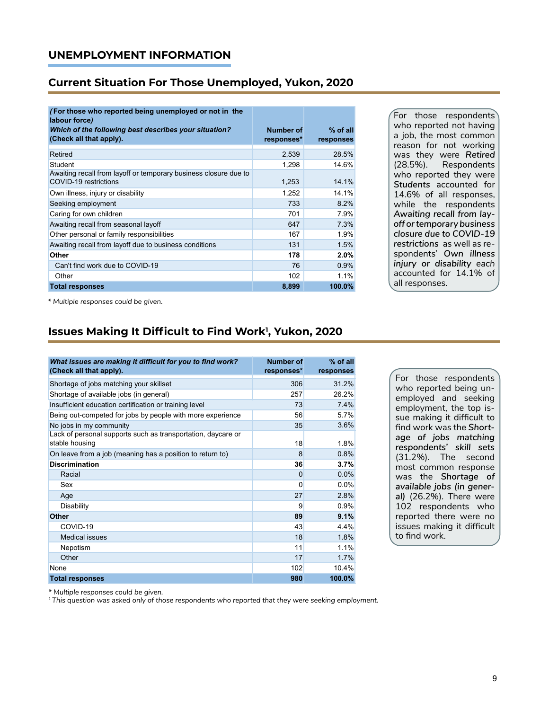### **UNEMPLOYMENT INFORMATION**

#### **Current Situation For Those Unemployed, Yukon, 2020**

| (For those who reported being unemployed or not in the<br>labour force)                   |            |            |
|-------------------------------------------------------------------------------------------|------------|------------|
| Which of the following best describes your situation?<br>(Check all that apply).          | Number of  | $%$ of all |
|                                                                                           | responses* | responses  |
| Retired                                                                                   | 2,539      | 28.5%      |
| Student                                                                                   | 1.298      | 14.6%      |
| Awaiting recall from layoff or temporary business closure due to<br>COVID-19 restrictions | 1,253      | 14.1%      |
| Own illness, injury or disability                                                         | 1.252      | 14.1%      |
| Seeking employment                                                                        | 733        | 8.2%       |
| Caring for own children                                                                   | 701        | 7.9%       |
| Awaiting recall from seasonal layoff                                                      | 647        | 7.3%       |
| Other personal or family responsibilities                                                 | 167        | 1.9%       |
| Awaiting recall from layoff due to business conditions                                    | 131        | 1.5%       |
| Other                                                                                     | 178        | 2.0%       |
| Can't find work due to COVID-19                                                           | 76         | 0.9%       |
| Other                                                                                     | 102        | 1.1%       |
| <b>Total responses</b>                                                                    | 8,899      | 100.0%     |

For those respondents who reported not having a job, the most common reason for not working was they were *Retired* (28.5%). Respondents who reported they were *Students* accounted for 14.6% of all responses, while the respondents *Awaiting recall from layoff or temporary business closure due to COVID-19 restrictions* as well as respondents' *Own illness injury or disability each*  accounted for 14.1% of all responses.

*\* Multiple responses could be given.*

# **Issues Making It Difficult to Find Work<sup>1</sup> , Yukon, 2020**

| What issues are making it difficult for you to find work?<br>(Check all that apply). | <b>Number of</b><br>responses* | % of all<br>responses |
|--------------------------------------------------------------------------------------|--------------------------------|-----------------------|
| Shortage of jobs matching your skillset                                              | 306                            | 31.2%                 |
| Shortage of available jobs (in general)                                              | 257                            | 26.2%                 |
| Insufficient education certification or training level                               | 73                             | 7.4%                  |
| Being out-competed for jobs by people with more experience                           | 56                             | 5.7%                  |
| No jobs in my community                                                              | 35                             | 3.6%                  |
| Lack of personal supports such as transportation, daycare or<br>stable housing       | 18                             | 1.8%                  |
| On leave from a job (meaning has a position to return to)                            | 8                              | 0.8%                  |
| <b>Discrimination</b>                                                                | 36                             | 3.7%                  |
| Racial                                                                               | $\Omega$                       | 0.0%                  |
| Sex                                                                                  | $\Omega$                       | $0.0\%$               |
| Age                                                                                  | 27                             | 2.8%                  |
| Disability                                                                           | 9                              | 0.9%                  |
| Other                                                                                | 89                             | 9.1%                  |
| COVID-19                                                                             | 43                             | 4.4%                  |
| <b>Medical issues</b>                                                                | 18                             | 1.8%                  |
| Nepotism                                                                             | 11                             | 1.1%                  |
| Other                                                                                | 17                             | 1.7%                  |
| None                                                                                 | 102                            | 10.4%                 |
| <b>Total responses</b>                                                               | 980                            | 100.0%                |

For those respondents who reported being unemployed and seeking employment, the top issue making it difficult to find work was the *Shortage of jobs matching respondents' skill sets* (31.2%). The second most common response was the *Shortage of available jobs (in general)* (26.2%)*.* There were 102 respondents who reported there were no issues making it difficult to find work.

*\* Multiple responses could be given.*

*1 This question was asked only of those respondents who reported that they were seeking employment.*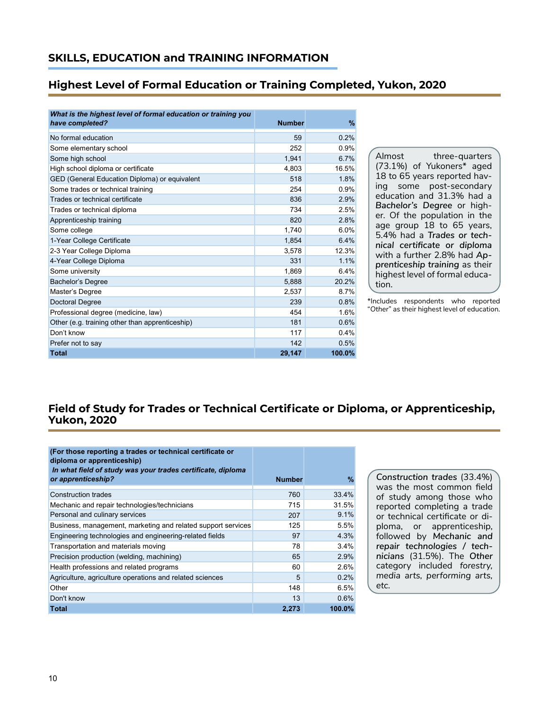### **Highest Level of Formal Education or Training Completed, Yukon, 2020**

| What is the highest level of formal education or training you<br>have completed? | <b>Number</b> | $\%$   |
|----------------------------------------------------------------------------------|---------------|--------|
|                                                                                  |               |        |
| No formal education                                                              | 59            | 0.2%   |
| Some elementary school                                                           | 252           | 0.9%   |
| Some high school                                                                 | 1.941         | 6.7%   |
| High school diploma or certificate                                               | 4,803         | 16.5%  |
| GED (General Education Diploma) or equivalent                                    | 518           | 1.8%   |
| Some trades or technical training                                                | 254           | 0.9%   |
| Trades or technical certificate                                                  | 836           | 2.9%   |
| Trades or technical diploma                                                      | 734           | 2.5%   |
| Apprenticeship training                                                          | 820           | 2.8%   |
| Some college                                                                     | 1,740         | 6.0%   |
| 1-Year College Certificate                                                       | 1,854         | 6.4%   |
| 2-3 Year College Diploma                                                         | 3.578         | 12.3%  |
| 4-Year College Diploma                                                           | 331           | 1.1%   |
| Some university                                                                  | 1,869         | 6.4%   |
| Bachelor's Degree                                                                | 5.888         | 20.2%  |
| Master's Degree                                                                  | 2,537         | 8.7%   |
| <b>Doctoral Degree</b>                                                           | 239           | 0.8%   |
| Professional degree (medicine, law)                                              | 454           | 1.6%   |
| Other (e.g. training other than apprenticeship)                                  | 181           | 0.6%   |
| Don't know                                                                       | 117           | 0.4%   |
| Prefer not to say                                                                | 142           | 0.5%   |
| <b>Total</b>                                                                     | 29,147        | 100.0% |

Almost three-quarters (73.1%) of Yukoners\* aged 18 to 65 years reported having some post-secondary education and 31.3% had a *Bachelor's Degree* or higher. Of the population in the age group 18 to 65 years, 5.4% had a *Trades or technical certificate or diploma* with a further 2.8% had *Apprenticeship training* as their highest level of formal education.

\*Includes respondents who reported "*Other*" as their highest level of education.

# **Field of Study for Trades or Technical Certificate or Diploma, or Apprenticeship, Yukon, 2020**

| (For those reporting a trades or technical certificate or<br>diploma or apprenticeship) |               |        |
|-----------------------------------------------------------------------------------------|---------------|--------|
| In what field of study was your trades certificate, diploma<br>or apprenticeship?       | <b>Number</b> | $\%$   |
| <b>Construction trades</b>                                                              | 760           | 33.4%  |
| Mechanic and repair technologies/technicians                                            | 715           | 31.5%  |
| Personal and culinary services                                                          | 207           | 9.1%   |
| Business, management, marketing and related support services                            | 125           | 5.5%   |
| Engineering technologies and engineering-related fields                                 | 97            | 4.3%   |
| Transportation and materials moving                                                     | 78            | 3.4%   |
| Precision production (welding, machining)                                               | 65            | 2.9%   |
| Health professions and related programs                                                 | 60            | 2.6%   |
| Agriculture, agriculture operations and related sciences                                | 5             | 0.2%   |
| Other                                                                                   | 148           | 6.5%   |
| Don't know                                                                              | 13            | 0.6%   |
| <b>Total</b>                                                                            | 2,273         | 100.0% |

*Construction trades* (33.4%) was the most common field of study among those who reported completing a trade or technical certificate or diploma, or apprenticeship, followed by *Mechanic and repair technologies / technicians* (31.5%). The *Other* category included *forestry, media arts, performing arts, etc.*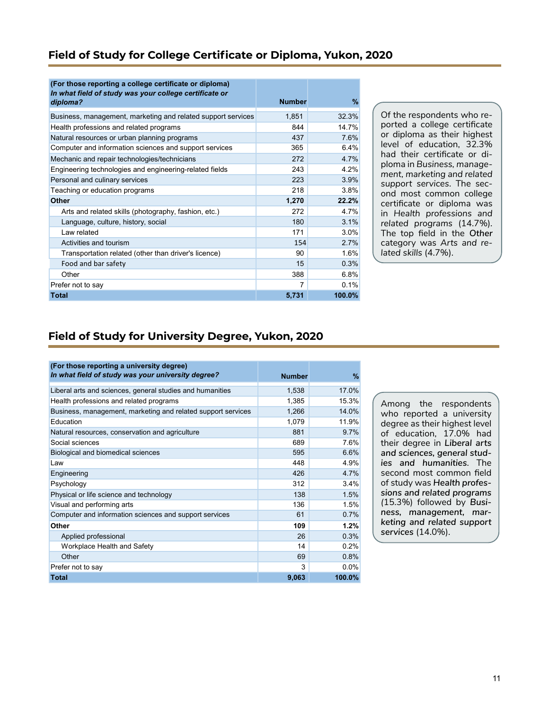# **Field of Study for College Certificate or Diploma, Yukon, 2020**

| (For those reporting a college certificate or diploma)<br>In what field of study was your college certificate or<br>diploma? | <b>Number</b> | $\%$   |
|------------------------------------------------------------------------------------------------------------------------------|---------------|--------|
| Business, management, marketing and related support services                                                                 | 1,851         | 32.3%  |
| Health professions and related programs                                                                                      | 844           | 14.7%  |
| Natural resources or urban planning programs                                                                                 | 437           | 7.6%   |
| Computer and information sciences and support services                                                                       | 365           | 6.4%   |
| Mechanic and repair technologies/technicians                                                                                 | 272           | 4.7%   |
| Engineering technologies and engineering-related fields                                                                      | 243           | 4.2%   |
| Personal and culinary services                                                                                               | 223           | 3.9%   |
| Teaching or education programs                                                                                               | 218           | 3.8%   |
| <b>Other</b>                                                                                                                 | 1,270         | 22.2%  |
| Arts and related skills (photography, fashion, etc.)                                                                         | 272           | 4.7%   |
| Language, culture, history, social                                                                                           | 180           | 3.1%   |
| Law related                                                                                                                  | 171           | 3.0%   |
| Activities and tourism                                                                                                       | 154           | 2.7%   |
| Transportation related (other than driver's licence)                                                                         | 90            | 1.6%   |
| Food and bar safety                                                                                                          | 15            | 0.3%   |
| Other                                                                                                                        | 388           | 6.8%   |
| Prefer not to say                                                                                                            | 7             | 0.1%   |
| <b>Total</b>                                                                                                                 | 5,731         | 100.0% |

Of the respondents who reported a college certificate or diploma as their highest level of education, 32.3% had their certificate or diploma in *Business, management, marketing and related support services*. The second most common college certificate or diploma was in *Health professions and related programs* (14.7%)*.*  The top field in the *Other* category was *Arts and related skills* (4.7%).

# **Field of Study for University Degree, Yukon, 2020**

| (For those reporting a university degree)<br>In what field of study was your university degree? | <b>Number</b> | $\%$   |
|-------------------------------------------------------------------------------------------------|---------------|--------|
|                                                                                                 |               |        |
| Liberal arts and sciences, general studies and humanities                                       | 1,538         | 17.0%  |
| Health professions and related programs                                                         | 1,385         | 15.3%  |
| Business, management, marketing and related support services                                    | 1,266         | 14.0%  |
| Education                                                                                       | 1,079         | 11.9%  |
| Natural resources, conservation and agriculture                                                 | 881           | 9.7%   |
| Social sciences                                                                                 | 689           | 7.6%   |
| Biological and biomedical sciences                                                              | 595           | 6.6%   |
| Law                                                                                             | 448           | 4.9%   |
| Engineering                                                                                     | 426           | 4.7%   |
| Psychology                                                                                      | 312           | 3.4%   |
| Physical or life science and technology                                                         | 138           | 1.5%   |
| Visual and performing arts                                                                      | 136           | 1.5%   |
| Computer and information sciences and support services                                          | 61            | 0.7%   |
| Other                                                                                           | 109           | 1.2%   |
| Applied professional                                                                            | 26            | 0.3%   |
| Workplace Health and Safety                                                                     | 14            | 0.2%   |
| Other                                                                                           | 69            | 0.8%   |
| Prefer not to say                                                                               | 3             | 0.0%   |
| <b>Total</b>                                                                                    | 9,063         | 100.0% |

Among the respondents who reported a university degree as their highest level of education, 17.0% had their degree in *Liberal arts and sciences, general studies and humanities*. The second most common field of study was *Health professions and related programs (*15.3%) followed by *Business, management, marketing and related support services* (14.0%).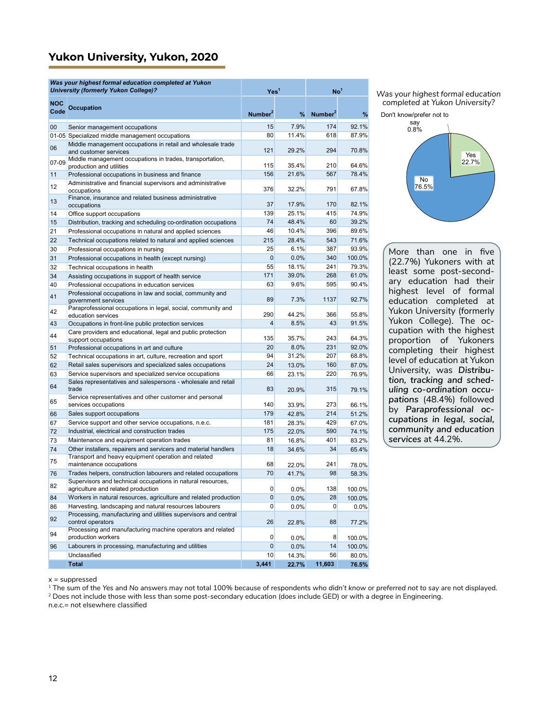## **Yukon University, Yukon, 2020**

|                    | Was your highest formal education completed at Yukon<br><b>University (formerly Yukon College)?</b>                                             | Yes <sup>1</sup>     |              | No <sup>1</sup>     |                  |
|--------------------|-------------------------------------------------------------------------------------------------------------------------------------------------|----------------------|--------------|---------------------|------------------|
| <b>NOC</b><br>Code | <b>Occupation</b>                                                                                                                               | Number <sup>2</sup>  | %            | Number <sup>2</sup> | %                |
| 00                 | Senior management occupations                                                                                                                   | 15                   | 7.9%         | 174                 | 92.1%            |
|                    | 01-05 Specialized middle management occupations                                                                                                 | 80                   | 11.4%        | 618                 | 87.9%            |
| 06                 | Middle management occupations in retail and wholesale trade<br>and customer services                                                            | 121                  | 29.2%        | 294                 | 70.8%            |
| 07-09              | Middle management occupations in trades, transportation,<br>production and utilities                                                            | 115                  | 35.4%        | 210                 | 64.6%            |
| 11                 | Professional occupations in business and finance                                                                                                | 156                  | 21.6%        | 567                 | 78.4%            |
| 12                 | Administrative and financial supervisors and administrative<br>occupations                                                                      | 376                  | 32.2%        | 791                 | 67.8%            |
| 13                 | Finance, insurance and related business administrative<br>occupations                                                                           | 37                   | 17.9%        | 170                 | 82.1%            |
| 14                 | Office support occupations                                                                                                                      | 139                  | 25.1%        | 415                 | 74.9%            |
| 15                 | Distribution, tracking and scheduling co-ordination occupations                                                                                 | 74                   | 48.4%        | 60                  | 39.2%            |
| 21                 | Professional occupations in natural and applied sciences                                                                                        | 46                   | 10.4%        | 396                 | 89.6%            |
| 22                 | Technical occupations related to natural and applied sciences                                                                                   | 215                  | 28.4%        | 543                 | 71.6%            |
| 30                 | Professional occupations in nursing                                                                                                             | 25                   | 6.1%         | 387                 | 93.9%            |
| 31                 | Professional occupations in health (except nursing)                                                                                             | $\Omega$             | 0.0%         | 340                 | 100.0%           |
| 32                 | Technical occupations in health                                                                                                                 | 55                   | 18.1%        | 241                 | 79.3%            |
| 34                 | Assisting occupations in support of health service                                                                                              | 171                  | 39.0%        | 268                 | 61.0%            |
| 40                 | Professional occupations in education services                                                                                                  | 63                   | 9.6%         | 595                 | 90.4%            |
| 41                 | Professional occupations in law and social, community and<br>government services                                                                | 89                   | 7.3%         | 1137                | 92.7%            |
| 42                 | Paraprofessional occupations in legal, social, community and<br>education services                                                              | 290                  | 44.2%        | 366                 | 55.8%            |
| 43                 | Occupations in front-line public protection services                                                                                            | $\overline{4}$       | 8.5%         | 43                  | 91.5%            |
| 44                 | Care providers and educational, legal and public protection<br>support occupations                                                              | 135                  | 35.7%        | 243                 | 64.3%            |
| 51                 | Professional occupations in art and culture                                                                                                     | 20                   | 8.0%         | 231                 | 92.0%            |
| 52                 | Technical occupations in art, culture, recreation and sport                                                                                     | 94                   | 31.2%        | 207                 | 68.8%            |
| 62                 | Retail sales supervisors and specialized sales occupations                                                                                      | 24                   | 13.0%        | 160                 | 87.0%            |
| 63                 | Service supervisors and specialized service occupations                                                                                         | 66                   | 23.1%        | 220                 | 76.9%            |
| 64                 | Sales representatives and salespersons - wholesale and retail<br>trade                                                                          | 83                   | 20.9%        | 315                 | 79.1%            |
| 65                 | Service representatives and other customer and personal<br>services occupations                                                                 | 140                  | 33.9%        | 273                 | 66.1%            |
| 66                 | Sales support occupations                                                                                                                       | 179                  | 42.8%        | 214                 | 51.2%            |
| 67                 | Service support and other service occupations, n.e.c.                                                                                           | 181                  | 28.3%        | 429                 | 67.0%            |
| 72                 | Industrial, electrical and construction trades                                                                                                  | 175                  | 22.0%        | 590                 | 74.1%            |
| 73                 | Maintenance and equipment operation trades                                                                                                      | 81                   | 16.8%        | 401                 | 83.2%            |
| 74<br>75           | Other installers, repairers and servicers and material handlers<br>Transport and heavy equipment operation and related                          | 18                   | 34.6%        | 34                  | 65.4%            |
|                    | maintenance occupations<br>Trades helpers, construction labourers and related occupations                                                       | 68<br>70             | 22.0%        | 241<br>98           | 78.0%            |
| 76                 | Supervisors and technical occupations in natural resources,                                                                                     |                      | 41.7%        |                     | 58.3%            |
| 82                 | agriculture and related production                                                                                                              | $\boldsymbol{0}$     | 0.0%         | 138                 | 100.0%           |
| 84                 | Workers in natural resources, agriculture and related production                                                                                | $\overline{0}$       | 0.0%         | 28                  | 100.0%           |
| 86<br>92           | Harvesting, landscaping and natural resources labourers<br>Processing, manufacturing and utilities supervisors and central<br>control operators | $\overline{0}$<br>26 | 0.0%         | $\mathbf{0}$<br>88  | 0.0%             |
| 94                 | Processing and manufacturing machine operators and related<br>production workers                                                                | $\overline{0}$       | 22.8%        | 8                   | 77.2%            |
| 96                 | Labourers in processing, manufacturing and utilities                                                                                            | $\overline{0}$       | 0.0%<br>0.0% | 14                  | 100.0%<br>100.0% |
|                    | Unclassified                                                                                                                                    | 10                   | 14.3%        | 56                  | 80.0%            |
|                    | <b>Total</b>                                                                                                                                    | 3,441                | 22.7%        | 11,603              | 76.5%            |

*Was your highest formal education completed at Yukon University?*



More than one in five (22.7%) Yukoners with at least some post-secondary education had their highest level of formal education completed at Yukon University (formerly Yukon College). The occupation with the highest proportion of Yukoners completing their highest level of education at Yukon University, was *Distribution, tracking and scheduling co-ordination occupations* (48.4%) followed by *Paraprofessional occupations in legal, social, community and education services* at 44.2%.

 $x =$ suppressed

1 The sum of the *Yes* and *No* answers may not total 100% because of respondents *who didn't know* or *preferred not to say* are not displayed.

<sup>2</sup> Does not include those with less than some post-secondary education (does include GED) or with a degree in Engineering.

n.e.c.= not elsewhere classified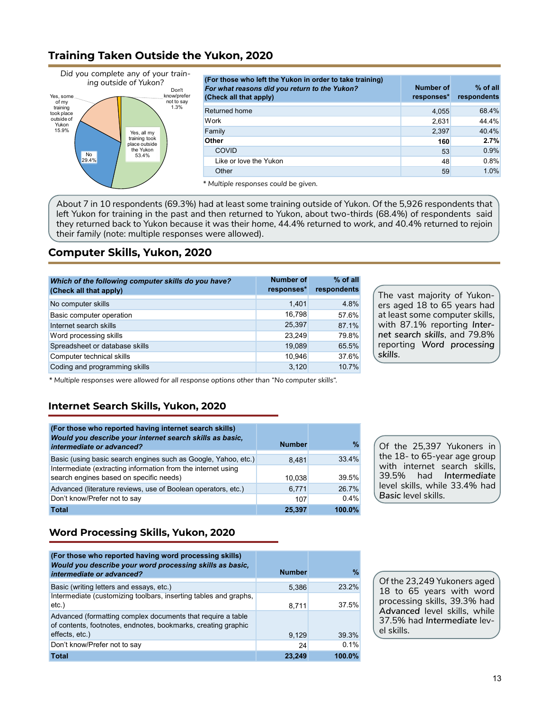# **Training Taken Outside the Yukon, 2020**



| (For those who left the Yukon in order to take training)<br>For what reasons did you return to the Yukon?<br>(Check all that apply) | <b>Number of</b><br>responses* | $%$ of all<br>respondents |
|-------------------------------------------------------------------------------------------------------------------------------------|--------------------------------|---------------------------|
| Returned home                                                                                                                       | 4,055                          | 68.4%                     |
| Work                                                                                                                                | 2,631                          | 44.4%                     |
| Family                                                                                                                              | 2,397                          | 40.4%                     |
| Other                                                                                                                               | 160                            | 2.7%                      |
| <b>COVID</b>                                                                                                                        | 53                             | 0.9%                      |
| Like or love the Yukon                                                                                                              | 48                             | 0.8%                      |
| Other                                                                                                                               | 59                             | 1.0%                      |

*\* Multiple responses could be given.*

About 7 in 10 respondents (69.3%) had at least some training outside of Yukon. Of the 5,926 respondents that left Yukon for training in the past and then returned to Yukon, about two-thirds (68.4%) of respondents said they returned back to Yukon because it was their *home*, 44.4% returned to *work, and* 40.4% returned to rejoin their *family* (note: multiple responses were allowed).

## **Computer Skills, Yukon, 2020**

| Which of the following computer skills do you have?<br>(Check all that apply) | <b>Number of</b><br>responses* | $%$ of all<br>respondents |
|-------------------------------------------------------------------------------|--------------------------------|---------------------------|
| No computer skills                                                            | 1,401                          | 4.8%                      |
| Basic computer operation                                                      | 16,798                         | 57.6%                     |
| Internet search skills                                                        | 25,397                         | 87.1%                     |
| Word processing skills                                                        | 23.249                         | 79.8%                     |
| Spreadsheet or database skills                                                | 19,089                         | 65.5%                     |
| Computer technical skills                                                     | 10,946                         | 37.6%                     |
| Coding and programming skills                                                 | 3,120                          | 10.7%                     |

The vast majority of Yukoners aged 18 to 65 years had at least some computer skills, with 87.1% reporting *Internet search skills*, and 79.8% reporting *Word processing skills*.

*\* Multiple responses were allowed for all response options other than "No computer skills".* 

### **Internet Search Skills, Yukon, 2020**

| (For those who reported having internet search skills)<br>Would you describe your internet search skills as basic,<br>intermediate or advanced? | <b>Number</b> | ℀      |
|-------------------------------------------------------------------------------------------------------------------------------------------------|---------------|--------|
| Basic (using basic search engines such as Google, Yahoo, etc.)                                                                                  | 8.481         | 33.4%  |
| Intermediate (extracting information from the internet using<br>search engines based on specific needs)                                         | 10.038        | 39.5%  |
| Advanced (literature reviews, use of Boolean operators, etc.)                                                                                   | 6,771         | 26.7%  |
| Don't know/Prefer not to say                                                                                                                    | 107           | 0.4%   |
| <b>Total</b>                                                                                                                                    | 25.397        | 100.0% |

Of the 25,397 Yukoners in the 18- to 65-year age group with internet search skills*,* 39.5% had *Intermediate* level skills, while 33.4% had *Basic* level skills.

### **Word Processing Skills, Yukon, 2020**

| (For those who reported having word processing skills)<br>Would you describe your word processing skills as basic,<br>intermediate or advanced? | <b>Number</b> | %      |
|-------------------------------------------------------------------------------------------------------------------------------------------------|---------------|--------|
| Basic (writing letters and essays, etc.)                                                                                                        | 5,386         | 232%   |
| Intermediate (customizing toolbars, inserting tables and graphs,<br>$etc.$ )                                                                    | 8,711         | 37.5%  |
| Advanced (formatting complex documents that require a table<br>of contents, footnotes, endnotes, bookmarks, creating graphic                    |               |        |
| effects, etc.)                                                                                                                                  | 9,129         | 39.3%  |
| Don't know/Prefer not to say                                                                                                                    | 24            | 0.1%   |
| <b>Total</b>                                                                                                                                    | 23,249        | 100.0% |

Of the 23,249 Yukoners aged 18 to 65 years with word processing skills, 39.3% had *Advanced* level skills, while 37.5% had *Intermediate* level skills.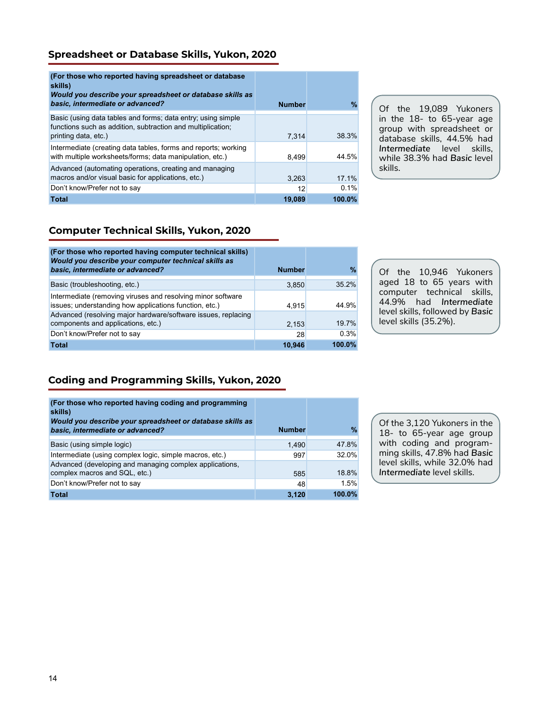### **Spreadsheet or Database Skills, Yukon, 2020**

| (For those who reported having spreadsheet or database)<br>skills)<br>Would you describe your spreadsheet or database skills as<br>basic, intermediate or advanced? | <b>Number</b> | $\%$      |
|---------------------------------------------------------------------------------------------------------------------------------------------------------------------|---------------|-----------|
| Basic (using data tables and forms; data entry; using simple<br>functions such as addition, subtraction and multiplication;<br>printing data, etc.)                 | 7.314         | 38.3%     |
| Intermediate (creating data tables, forms and reports; working<br>with multiple worksheets/forms; data manipulation, etc.)                                          | 8.499         | 44.5%     |
| Advanced (automating operations, creating and managing<br>macros and/or visual basic for applications, etc.)                                                        | 3.263         | 17.1%     |
| Don't know/Prefer not to say                                                                                                                                        | 12            | 0.1%      |
| <b>Total</b>                                                                                                                                                        | 19,089        | $100.0\%$ |

Of the 19,089 Yukoners in the 18- to 65-year age group with spreadsheet or database skills, 44.5% had *Intermediate* level skills, while 38.3% had *Basic* level skills.

### **Computer Technical Skills, Yukon, 2020**

| (For those who reported having computer technical skills)<br>Would you describe your computer technical skills as<br>basic, intermediate or advanced? | <b>Number</b> | %      |
|-------------------------------------------------------------------------------------------------------------------------------------------------------|---------------|--------|
| Basic (troubleshooting, etc.)                                                                                                                         | 3,850         | 35.2%  |
| Intermediate (removing viruses and resolving minor software<br>issues; understanding how applications function, etc.)                                 | 4.915         | 44.9%  |
| Advanced (resolving major hardware/software issues, replacing<br>components and applications, etc.)                                                   | 2,153         | 19.7%  |
| Don't know/Prefer not to say                                                                                                                          | 28            | 0.3%   |
| <b>Total</b>                                                                                                                                          | 10.946        | 100.0% |

Of the 10,946 Yukoners aged 18 to 65 years with computer technical skills, 44.9% had *Intermediate* level skills, followed by *Basic* level skills (35.2%).

# **Coding and Programming Skills, Yukon, 2020**

| (For those who reported having coding and programming<br>skills)<br>Would you describe your spreadsheet or database skills as<br>basic, intermediate or advanced? | <b>Number</b> | $\%$   |
|-------------------------------------------------------------------------------------------------------------------------------------------------------------------|---------------|--------|
| Basic (using simple logic)                                                                                                                                        | 1.490         | 47.8%  |
| Intermediate (using complex logic, simple macros, etc.)                                                                                                           | 997           | 32.0%  |
| Advanced (developing and managing complex applications,<br>complex macros and SQL, etc.)                                                                          | 585           | 18.8%  |
| Don't know/Prefer not to say                                                                                                                                      | 48            | 1.5%   |
| <b>Total</b>                                                                                                                                                      | 3,120         | 100.0% |

Of the 3,120 Yukoners in the 18- to 65-year age group with coding and programming skills, 47.8% had *Basic* level skills, while 32.0% had *Intermediate* level skills.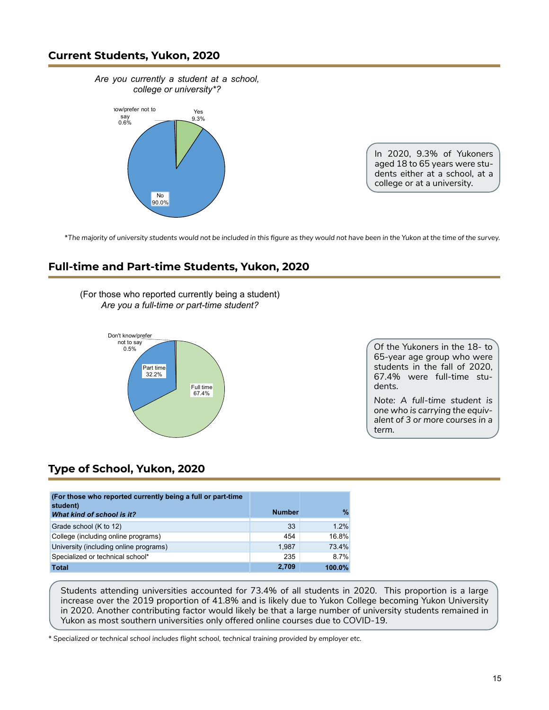### **Current Students, Yukon, 2020**



In 2020, 9.3% of Yukoners aged 18 to 65 years were students either at a school, at a college or at a university.

\**The majority of university students would not be included in this figure as they would not have been in the Yukon at the time of the survey.*

# **Full-time and Part-time Students, Yukon, 2020**

(For those who reported currently being a student) *Are you a full-time or part-time student?*



Of the Yukoners in the 18- to 65-year age group who were students in the fall of 2020, 67.4% were full-time students.

*Note: A full-time student is one who is carrying the equivalent of 3 or more courses in a term.*

# **Type of School, Yukon, 2020**

| (For those who reported currently being a full or part-time<br>student)<br>What kind of school is it? | <b>Number</b> | %      |
|-------------------------------------------------------------------------------------------------------|---------------|--------|
| Grade school (K to 12)                                                                                | 33            | 1.2%   |
| College (including online programs)                                                                   | 454           | 16.8%  |
| University (including online programs)                                                                | 1.987         | 73.4%  |
| Specialized or technical school*                                                                      | 235           | 8.7%   |
| <b>Total</b>                                                                                          | 2,709         | 100.0% |

Students attending universities accounted for 73.4% of all students in 2020. This proportion is a large increase over the 2019 proportion of 41.8% and is likely due to Yukon College becoming Yukon University in 2020. Another contributing factor would likely be that a large number of university students remained in Yukon as most southern universities only offered online courses due to COVID-19.

*\* Specialized or technical school includes flight school, technical training provided by employer etc.*